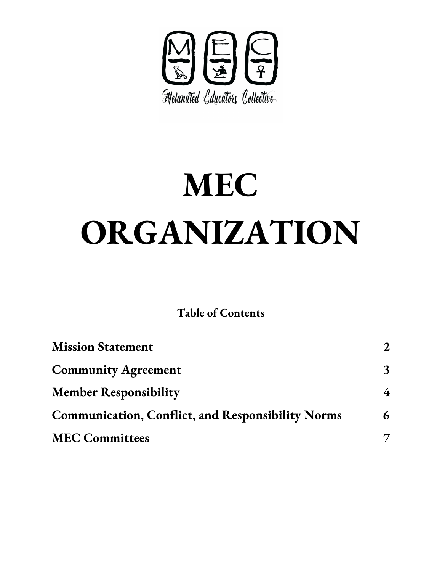

# **MEC ORGANIZATION**

**Table of Contents**

| <b>Mission Statement</b>                                 |              |
|----------------------------------------------------------|--------------|
| <b>Community Agreement</b>                               | $\mathbf{3}$ |
| <b>Member Responsibility</b>                             | 4            |
| <b>Communication, Conflict, and Responsibility Norms</b> | 6            |
| <b>MEC Committees</b>                                    |              |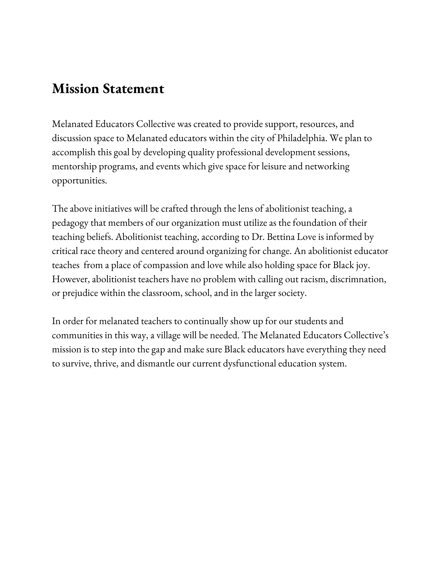## <span id="page-1-0"></span>**Mission Statement**

Melanated Educators Collective was created to provide support, resources, and discussion space to Melanated educators within the city of Philadelphia. We plan to accomplish this goal by developing quality professional development sessions, mentorship programs, and events which give space for leisure and networking opportunities.

The above initiatives will be crafted through the lens of abolitionist teaching, a pedagogy that members of our organization must utilize as the foundation of their teaching beliefs. Abolitionist teaching, according to Dr. Bettina Love is informed by critical race theory and centered around organizing for change. An abolitionist educator teaches from a place of compassion and love while also holding space for Black joy. However, abolitionist teachers have no problem with calling out racism, discrimnation, or prejudice within the classroom, school, and in the larger society.

In order for melanated teachers to continually show up for our students and communities in this way, a village will be needed. The Melanated Educators Collective's mission is to step into the gap and make sure Black educators have everything they need to survive, thrive, and dismantle our current dysfunctional education system.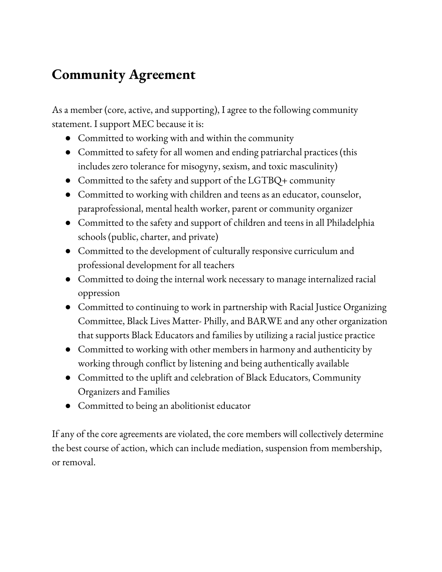## <span id="page-2-0"></span>**Community Agreement**

As a member (core, active, and supporting), I agree to the following community statement. I support MEC because it is:

- Committed to working with and within the community
- Committed to safety for all women and ending patriarchal practices (this includes zero tolerance for misogyny, sexism, and toxic masculinity)
- Committed to the safety and support of the LGTBQ+ community
- Committed to working with children and teens as an educator, counselor, paraprofessional, mental health worker, parent or community organizer
- Committed to the safety and support of children and teens in all Philadelphia schools (public, charter, and private)
- Committed to the development of culturally responsive curriculum and professional development for all teachers
- Committed to doing the internal work necessary to manage internalized racial oppression
- Committed to continuing to work in partnership with Racial Justice Organizing Committee, Black Lives Matter- Philly, and BARWE and any other organization that supports Black Educators and families by utilizing a racial justice practice
- Committed to working with other members in harmony and authenticity by working through conflict by listening and being authentically available
- Committed to the uplift and celebration of Black Educators, Community Organizers and Families
- Committed to being an abolitionist educator

If any of the core agreements are violated, the core members will collectively determine the best course of action, which can include mediation, suspension from membership, or removal.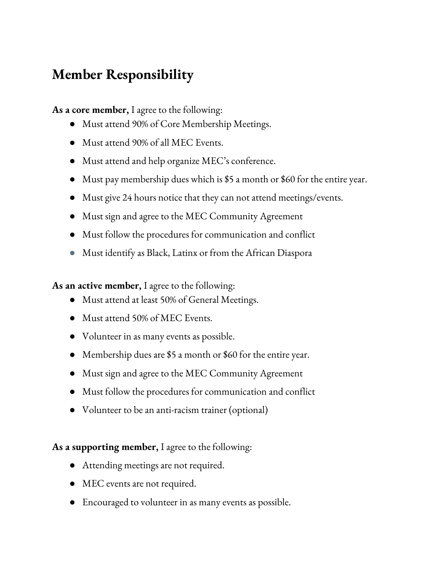## <span id="page-3-0"></span>**Member Responsibility**

**As a core member,** I agree to the following:

- Must attend 90% of Core Membership Meetings.
- Must attend 90% of all MEC Events.
- Must attend and help organize MEC's conference.
- Must pay membership dues which is \$5 a month or \$60 for the entire year.
- Must give 24 hours notice that they can not attend meetings/events.
- Must sign and agree to the MEC Community Agreement
- Must follow the procedures for communication and conflict
- Must identify as Black, Latinx or from the African Diaspora

**As an active member,** I agree to the following:

- Must attend at least 50% of General Meetings.
- Must attend 50% of MEC Events.
- Volunteer in as many events as possible.
- Membership dues are \$5 a month or \$60 for the entire year.
- Must sign and agree to the MEC Community Agreement
- Must follow the procedures for communication and conflict
- Volunteer to be an anti-racism trainer (optional)

**As a supporting member,** I agree to the following:

- Attending meetings are not required.
- MEC events are not required.
- Encouraged to volunteer in as many events as possible.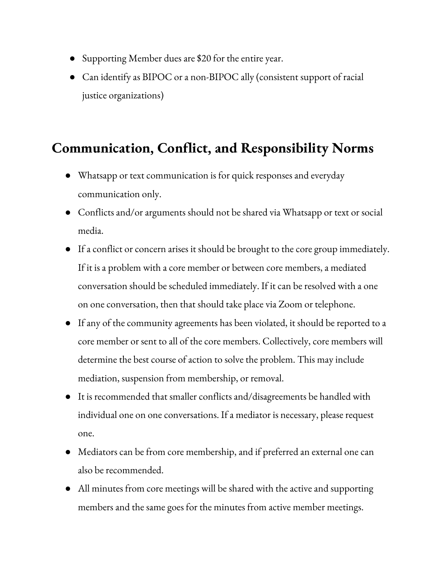- Supporting Member dues are \$20 for the entire year.
- Can identify as BIPOC or a non-BIPOC ally (consistent support of racial justice organizations)

#### **Communication, Conflict, and Responsibility Norms**

- Whatsapp or text communication is for quick responses and everyday communication only.
- Conflicts and/or arguments should not be shared via Whatsapp or text or social media.
- If a conflict or concern arises it should be brought to the core group immediately. If it is a problem with a core member or between core members, a mediated conversation should be scheduled immediately. If it can be resolved with a one on one conversation, then that should take place via Zoom or telephone.
- If any of the community agreements has been violated, it should be reported to a core member or sent to all of the core members. Collectively, core members will determine the best course of action to solve the problem. This may include mediation, suspension from membership, or removal.
- It is recommended that smaller conflicts and/disagreements be handled with individual one on one conversations. If a mediator is necessary, please request one.
- Mediators can be from core membership, and if preferred an external one can also be recommended.
- All minutes from core meetings will be shared with the active and supporting members and the same goes for the minutes from active member meetings.